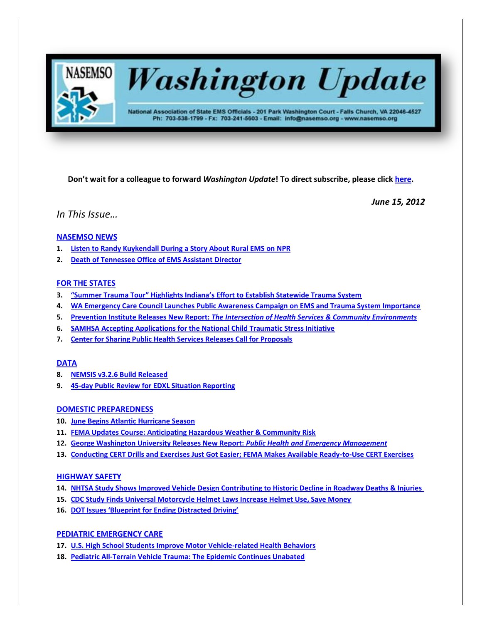

# **Washington Update**

National Association of State EMS Officials - 201 Park Washington Court - Falls Church, VA 22046-4527 Ph: 703-538-1799 - Fx: 703-241-5603 - Email: info@nasemso.org - www.nasemso.org

**Don't wait for a colleague to forward** *Washington Update***! To direct subscribe, please click [here.](http://lists.nasemso.org/read/all_forums/subscribe?name=wu%20)**

*June 15, 2012*

*In This Issue…*

## **[NASEMSO NEWS](#page-1-0)**

- **1. [Listen to Randy Kuykendall During a](#page-1-0) Story About Rural EMS on NPR**
- **2. [Death of Tennessee Office of EMS Assistant](#page-1-1) Director**

## **[FOR THE STATES](#page-2-0)**

- **3. ["Summer Trauma Tour" Highlights Indiana's Effort to Establish Statewide Trauma System](#page-2-1)**
- **4. [WA Emergency Care Council Launches Public Awareness Campaign on EMS and Trauma System Importance](#page-2-2)**
- **5. Prevention Institute Releases New Report:** *[The Intersection of Health Services & Community Environments](#page-2-3)*
- **6. [SAMHSA Accepting Applications for the National Child Traumatic Stress Initiative](#page-2-4)**
- **7. Center for Sharing Public [Health Services Releases Call for Proposals](#page-2-5)**

## **[DATA](#page-3-0)**

- **8. [NEMSIS v3.2.6 Build Released](#page-3-1)**
- **9. [45-day Public Review for EDXL Situation Reporting](#page-3-2)**

## **[DOMESTIC PREPAREDNESS](#page-4-0)**

- **10. [June Begins Atlantic Hurricane Season](#page-3-3)**
- **11. [FEMA Updates Course: Anticipating Hazardous Weather & Community Risk](#page-3-4)**
- **12. [George Washington University Releases New Report:](#page-4-0)** *Public Health and Emergency Management*
- **13. [Conducting CERT Drills and Exercises Just Got Easier; FEMA Makes Available Ready-to-Use CERT Exercises](#page-4-1)**

## **[HIGHWAY SAFETY](#page-4-2)**

- **14. [NHTSA Study Shows Improved Vehicle Design Contributing to Historic Decline in Roadway Deaths & Injuries](#page-4-3)**
- **15. [CDC Study Finds Universal Motorcycle Helmet Laws Increase Helmet Use, Save Money](#page-4-4)**
- **16. [DOT Issues 'Blueprint for Ending Distracted Driving'](#page-4-5)**

## **[PEDIATRIC EMERGENCY CARE](#page-5-0)**

- **17. [U.S. High School Students Improve Motor Vehicle-related Health Behaviors](#page-6-0)**
- **18. [Pediatric All-Terrain Vehicle Trauma: The Epidemic Continues Unabated](#page-6-1)**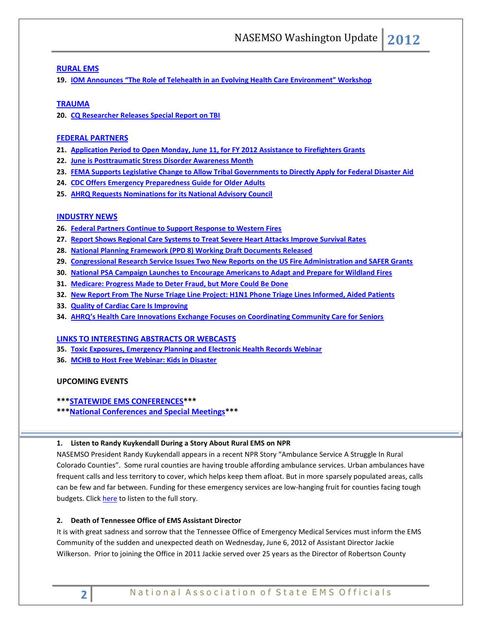## **[RURAL EMS](#page-5-1)**

**19. IOM Announces "[The Role of Telehealth in an Evolving Health Care Environment" Workshop](#page-5-2)**

## **[TRAUMA](#page-5-1)**

**20. [CQ Researcher Releases Special Report on TBI](#page-5-3)**

### **[FEDERAL PARTNERS](#page-6-2)**

- **21. [Application Period to Open Monday, June 11, for FY 2012 Assistance to Firefighters Grants](#page-6-3)**
- **22. [June is Posttraumatic Stress Disorder Awareness Month](#page-6-4)**
- **23. [FEMA Supports Legislative Change to Allow Tribal Governments to Directly Apply for Federal Disaster Aid](#page-6-0)**
- **24. [CDC Offers Emergency Preparedness Guide for Older Adults](#page-6-1)**
- **25. [AHRQ Requests Nominations for its National Advisory Council](#page-6-5)**

## **[INDUSTRY NEWS](#page-7-0)**

- **26. [Federal Partners Continue to Support Response to Western Fires](#page-7-1)**
- **27. [Report Shows Regional Care Systems to Treat Severe Heart Attacks Improve Survival Rates](#page-8-0)**
- **28. [National Planning Framework \(PPD 8\) Working](#page-7-2) Draft Documents Released**
- **29. [Congressional Research Service Issues Two New Reports](#page-8-1) on the US Fire Administration and SAFER Grants**
- **30. [National PSA Campaign Launches to Encourage Americans to Adapt and Prepare for Wildland Fires](#page-9-0)**
- **31. [Medicare: Progress Made to Deter Fraud, but More Could Be Done](#page-9-1)**
- **32. [New Report From The Nurse Triage Line Project: H1N1 Phone Triage Lines Informed, Aided Patients](#page-8-0)**
- **33. [Quality of Cardiac Care Is Improving](#page-8-2)**
- **34. [AHRQ's Health Care Innovations Exchange Focuses on Coordinating Community Care for Seniors](#page-8-1)**

#### **[LINKS TO INTERESTING ABSTRACTS OR WEBCASTS](#page-9-2)**

- **35. [Toxic Exposures, Emergency Planning and Electronic Health Records Webinar](#page-9-0)**
- **36. [MCHB to Host Free Webinar: Kids in Disaster](#page-9-1)**

## **UPCOMING EVENTS**

#### **\*\*\*STATEWIDE EMS CONFERENCES\*\*\***

**\*\*[\\*National Conferences and Special Meetings\\*](#page-10-0)\*\***

#### <span id="page-1-0"></span>**1. Listen to Randy Kuykendall During a Story About Rural EMS on NPR**

NASEMSO President Randy Kuykendall appears in a recent NPR Story "Ambulance Service A Struggle In Rural Colorado Counties". Some rural counties are having trouble affording ambulance services. Urban ambulances have frequent calls and less territory to cover, which helps keep them afloat. But in more sparsely populated areas, calls can be few and far between. Funding for these emergency services are low-hanging fruit for counties facing tough budgets. Clic[k here](http://www.npr.org/2012/06/12/154824748/ambulance-service-a-struggle-in-rural-colo-counties) to listen to the full story.

## <span id="page-1-1"></span>**2. Death of Tennessee Office of EMS Assistant Director**

It is with great sadness and sorrow that the Tennessee Office of Emergency Medical Services must inform the EMS Community of the sudden and unexpected death on Wednesday, June 6, 2012 of Assistant Director Jackie Wilkerson. Prior to joining the Office in 2011 Jackie served over 25 years as the Director of Robertson County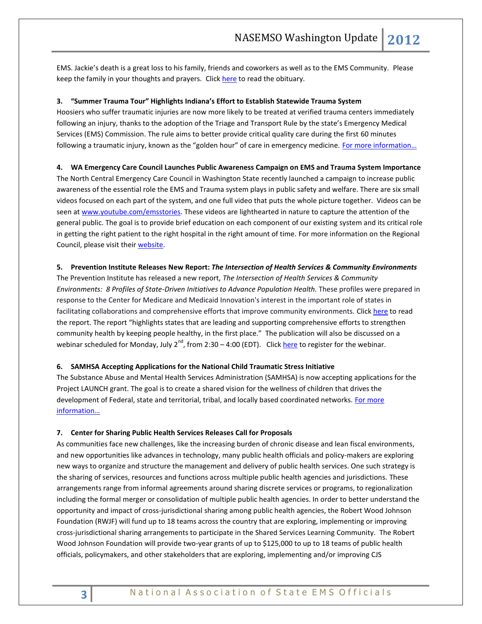EMS. Jackie's death is a great loss to his family, friends and coworkers as well as to the EMS Community. Please keep the family in your thoughts and prayers. Clic[k here](http://www.austinandbell.com/fh/obituaries/obituary.cfm?o_id=1501290&fh_id=11410) to read the obituary.

#### <span id="page-2-1"></span><span id="page-2-0"></span>**3. "Summer Trauma Tour" Highlights Indiana's Effort to Establish Statewide Trauma System**

Hoosiers who suffer traumatic injuries are now more likely to be treated at verified trauma centers immediately following an injury, thanks to the adoption of the Triage and Transport Rule by the state's Emergency Medical Services (EMS) Commission. The rule aims to better provide critical quality care during the first 60 minutes following a traumatic injury, known as the "golden hour" of care in emergency medicine. For more information...

## <span id="page-2-2"></span>**4. WA Emergency Care Council Launches Public Awareness Campaign on EMS and Trauma System Importance**

The North Central Emergency Care Council in Washington State recently launched a campaign to increase public awareness of the essential role the EMS and Trauma system plays in public safety and welfare. There are six small videos focused on each part of the system, and one full video that puts the whole picture together. Videos can be seen at [www.youtube.com/emsstories.](http://www.youtube.com/emsstories) These videos are lighthearted in nature to capture the attention of the general public. The goal is to provide brief education on each component of our existing system and its critical role in getting the right patient to the right hospital in the right amount of time. For more information on the Regional Council, please visit thei[r website.](http://www.ncecc.org/) 

#### <span id="page-2-3"></span>**5. Prevention Institute Releases New Report:** *The Intersection of Health Services & Community Environments*

The Prevention Institute has released a new report, *The Intersection of Health Services & Community Environments: 8 Profiles of State-Driven Initiatives to Advance Population Health.* These profiles were prepared in response to the Center for Medicare and Medicaid Innovation's interest in the important role of states in facilitating collaborations and comprehensive efforts that improve community environments. Clic[k here](http://www.preventioninstitute.org/component/jlibrary/article/id-327/127.html) to read the report. The report "highlights states that are leading and supporting comprehensive efforts to strengthen community health by keeping people healthy, in the first place." The publication will also be discussed on a webinar scheduled for Monday, July 2<sup>nd</sup>, from 2:30 – 4:00 (EDT). Clic[k here](https://calcasa.ilinc.com/perl/ilinc/lms/register.pl?activity_id=krbbsft&user_id) to register for the webinar.

#### <span id="page-2-4"></span>**6. SAMHSA Accepting Applications for the National Child Traumatic Stress Initiative**

The Substance Abuse and Mental Health Services Administration (SAMHSA) is now accepting applications for the Project LAUNCH grant. The goal is to create a shared vision for the wellness of children that drives the development of Federal, state and territorial, tribal, and locally based coordinated networks. [For more](http://www.samhsa.gov/newsroom/advisories/1205220628.aspx)  [information…](http://www.samhsa.gov/newsroom/advisories/1205220628.aspx)

#### <span id="page-2-5"></span>**7. Center for Sharing Public Health Services Releases Call for Proposals**

As communities face new challenges, like the increasing burden of chronic disease and lean fiscal environments, and new opportunities like advances in technology, many public health officials and policy-makers are exploring new ways to organize and structure the management and delivery of public health services. One such strategy is the sharing of services, resources and functions across multiple public health agencies and jurisdictions. These arrangements range from informal agreements around sharing discrete services or programs, to regionalization including the formal merger or consolidation of multiple public health agencies. In order to better understand the opportunity and impact of cross-jurisdictional sharing among public health agencies, the Robert Wood Johnson Foundation (RWJF) will fund up to 18 teams across the country that are exploring, implementing or improving cross-jurisdictional sharing arrangements to participate in the Shared Services Learning Community. The Robert Wood Johnson Foundation will provide two-year grants of up to \$125,000 to up to 18 teams of public health officials, policymakers, and other stakeholders that are exploring, implementing and/or improving CJS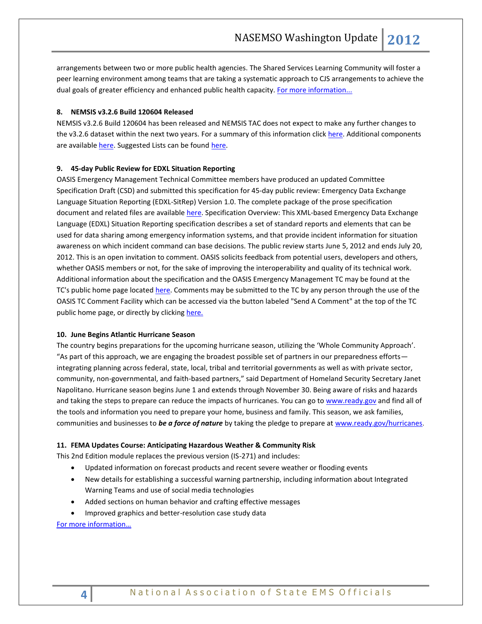arrangements between two or more public health agencies. The Shared Services Learning Community will foster a peer learning environment among teams that are taking a systematic approach to CJS arrangements to achieve the dual goals of greater efficiency and enhanced public health capacity. [For more information...](http://www.rwjf.org/applications/solicited/cfp.jsp?ID=21397&cid=XEM_A6078)

#### <span id="page-3-1"></span><span id="page-3-0"></span>**8. NEMSIS v3.2.6 Build 120604 Released**

NEMSIS v3.2.6 Build 120604 has been released and NEMSIS TAC does not expect to make any further changes to the v3.2.6 dataset within the next two years. For a summary of this information click [here.](http://www.nemsis.org/v3/overview.html) Additional components are available [here.](http://www.nemsis.org/v3/downloads/index.html) Suggested Lists can be foun[d here.](http://www.nemsis.org/v3/resources.html)

#### <span id="page-3-2"></span>**9. 45-day Public Review for EDXL Situation Reporting**

OASIS Emergency Management Technical Committee members have produced an updated Committee Specification Draft (CSD) and submitted this specification for 45-day public review: Emergency Data Exchange Language Situation Reporting (EDXL-SitRep) Version 1.0. The complete package of the prose specification document and related files are available [here.](https://www.oasis-open.org/committees/download.php/46170/edxl-sitrep-v1.0-csprd02.zip) Specification Overview: This XML-based Emergency Data Exchange Language (EDXL) Situation Reporting specification describes a set of standard reports and elements that can be used for data sharing among emergency information systems, and that provide incident information for situation awareness on which incident command can base decisions. The public review starts June 5, 2012 and ends July 20, 2012. This is an open invitation to comment. OASIS solicits feedback from potential users, developers and others, whether OASIS members or not, for the sake of improving the interoperability and quality of its technical work. Additional information about the specification and the OASIS Emergency Management TC may be found at the TC's public home page locate[d here.](http://www.oasis-open.org/committees/emergency/) Comments may be submitted to the TC by any person through the use of the OASIS TC Comment Facility which can be accessed via the button labeled "Send A Comment" at the top of the TC public home page, or directly by clicking [here.](http://www.oasis-open.org/committees/comments/form.php?wg_abbrev=emergency)

#### <span id="page-3-3"></span>**10. June Begins Atlantic [Hurricane](http://www.dhs.gov/ynews/releases/20120601-atlantic-hurricane-season-begins-today.shtm) Season**

The country begins preparations for the upcoming hurricane season, utilizing the 'Whole Community Approach'. "As part of this approach, we are engaging the broadest possible set of partners in our preparedness efforts integrating planning across federal, state, local, tribal and territorial governments as well as with private sector, community, non-governmental, and faith-based partners," said Department of Homeland Security Secretary Janet Napolitano. Hurricane season begins June 1 and extends through November 30. Being aware of risks and hazards and taking the steps to prepare can reduce the impacts of hurricanes. You can go to [www.ready.gov](http://www.ready.gov/) and find all of the tools and information you need to prepare your home, business and family. This season, we ask families, communities and businesses to *be a force of nature* by taking the pledge to prepare at [www.ready.gov/hurricanes.](http://www.ready.gov/hurricanes)

#### <span id="page-3-4"></span>**11. FEMA Updates Course: Anticipating Hazardous Weather & Community Risk**

This 2nd Edition module replaces the previous version (IS-271) and includes:

- Updated information on forecast products and recent severe weather or flooding events
- New details for establishing a successful warning partnership, including information about Integrated Warning Teams and use of social media technologies
- Added sections on human behavior and crafting effective messages
- Improved graphics and better-resolution case study data

[For more information…](http://training.fema.gov/EMIWeb/IS/is271a.asp)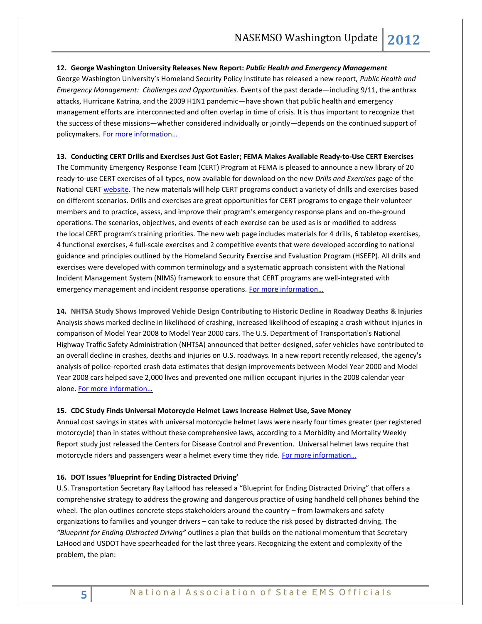#### <span id="page-4-0"></span>**12. George Washington University Releases New Report:** *Public Health and Emergency Management*

George Washington University's Homeland Security Policy Institute has released a new report, *Public Health and Emergency Management: Challenges and Opportunities*. Events of the past decade—including 9/11, the anthrax attacks, Hurricane Katrina, and the 2009 H1N1 pandemic—have shown that public health and emergency management efforts are interconnected and often overlap in time of crisis. It is thus important to recognize that the success of these missions—whether considered individually or jointly—depends on the continued support of policymakers. For more information...

## <span id="page-4-1"></span>**13. Conducting CERT Drills and Exercises Just Got Easier; FEMA Makes Available Ready-to-Use CERT Exercises**

The Community Emergency Response Team (CERT) Program at FEMA is pleased to announce a new library of 20 ready-to-use CERT exercises of all types, now available for download on the new *Drills and Exercises* page of the National CER[T website.](http://www.citizencorps.gov/cert/exercises.shtm) The new materials will help CERT programs conduct a variety of drills and exercises based on different scenarios. Drills and exercises are great opportunities for CERT programs to engage their volunteer members and to practice, assess, and improve their program's emergency response plans and on-the-ground operations. The scenarios, objectives, and events of each exercise can be used as is or modified to address the local CERT program's training priorities. The new web page includes materials for 4 drills, 6 tabletop exercises, 4 functional exercises, 4 full-scale exercises and 2 competitive events that were developed according to national guidance and principles outlined by the Homeland Security Exercise and Evaluation Program (HSEEP). All drills and exercises were developed with common terminology and a systematic approach consistent with the National Incident Management System (NIMS) framework to ensure that CERT programs are well-integrated with emergency management and incident response operations. For more information...

<span id="page-4-3"></span><span id="page-4-2"></span>**14. NHTSA Study Shows Improved Vehicle Design Contributing to Historic Decline in Roadway Deaths & Injuries** Analysis shows marked decline in likelihood of crashing, increased likelihood of escaping a crash without injuries in comparison of Model Year 2008 to Model Year 2000 cars. The U.S. Department of Transportation's National Highway Traffic Safety Administration (NHTSA) announced that better-designed, safer vehicles have contributed to an overall decline in crashes, deaths and injuries on U.S. roadways. In a new report recently released, the agency's analysis of police-reported crash data estimates that design improvements between Model Year 2000 and Model Year 2008 cars helped save 2,000 lives and prevented one million occupant injuries in the 2008 calendar year alone. [For more information…](http://www-nrd.nhtsa.dot.gov/Pubs/811572.pdf)

#### <span id="page-4-4"></span>**15. CDC Study Finds Universal Motorcycle Helmet Laws Increase Helmet Use, Save Money**

Annual cost savings in states with universal motorcycle helmet laws were nearly four times greater (per registered motorcycle) than in states without these comprehensive laws, according to a Morbidity and Mortality Weekly Report study just released the Centers for Disease Control and Prevention. Universal helmet laws require that motorcycle riders and passengers wear a helmet every time they ride. [For more inf](http://www.cdc.gov/media/releases/2012/p0614_motorcycle_laws.html)ormation…

### <span id="page-4-5"></span>**16. DOT Issues 'Blueprint for Ending Distracted Driving'**

U.S. Transportation Secretary Ray LaHood has released a "Blueprint for Ending Distracted Driving" that offers a comprehensive strategy to address the growing and dangerous practice of using handheld cell phones behind the wheel. The plan outlines concrete steps stakeholders around the country – from lawmakers and safety organizations to families and younger drivers – can take to reduce the risk posed by distracted driving. The *"Blueprint for Ending Distracted Driving"* outlines a plan that builds on the national momentum that Secretary LaHood and USDOT have spearheaded for the last three years. Recognizing the extent and complexity of the problem, the plan: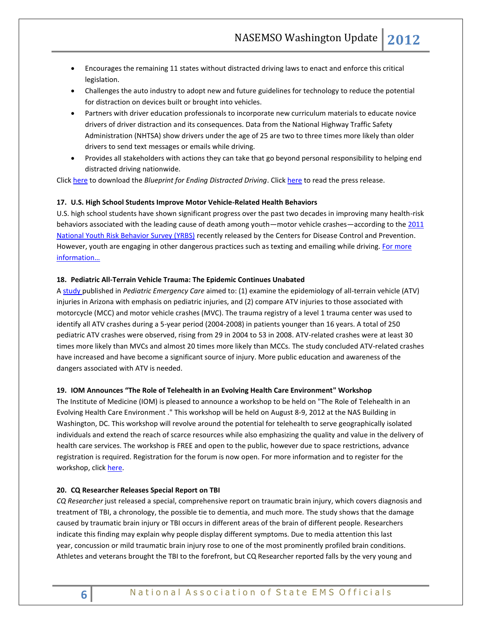- Encourages the remaining 11 states without distracted driving laws to enact and enforce this critical legislation.
- Challenges the auto industry to adopt new and future guidelines for technology to reduce the potential for distraction on devices built or brought into vehicles.
- Partners with driver education professionals to incorporate new curriculum materials to educate novice drivers of driver distraction and its consequences. Data from the National Highway Traffic Safety Administration (NHTSA) show drivers under the age of 25 are two to three times more likely than older drivers to send text messages or emails while driving.
- Provides all stakeholders with actions they can take that go beyond personal responsibility to helping end distracted driving nationwide.

<span id="page-5-0"></span>Click [here](http://links.govdelivery.com/track?type=click&enid=ZWFzPTEmbWFpbGluZ2lkPTIwMTIwNjA3LjgxMDkyNDEmbWVzc2FnZWlkPU1EQi1QUkQtQlVMLTIwMTIwNjA3LjgxMDkyNDEmZGF0YWJhc2VpZD0xMDAxJnNlcmlhbD0xNzAyMTgxMCZlbWFpbGlkPWFsdGVyQG5hc2Vtc28ub3JnJnVzZXJpZD1hbHRlckBuYXNlbXNvLm9yZyZmbD0mZXh0cmE9TXVsdGl2YXJpYXRlSWQ9JiYm&&&100&&&http://www.nhtsa.gov/staticfiles/nti/distracted_driving/pdf/811629.pdf) to download the *Blueprint for Ending Distracted Driving*. Click [here](http://www.distraction.gov/content/press-release/2012/06-7.html) to read the press release.

#### **17. U.S. High School Students Improve Motor Vehicle-Related Health Behaviors**

U.S. high school students have shown significant progress over the past two decades in improving many health-risk behaviors associated with the leading cause of death among youth—motor vehicle crashes—according to the 2011 [National Youth Risk Behavior Survey \(YRBS\)](http://links.govdelivery.com/track?type=click&enid=ZWFzPTEmbWFpbGluZ2lkPTIwMTIwNjA3LjgxMTY1MzEmbWVzc2FnZWlkPU1EQi1QUkQtQlVMLTIwMTIwNjA3LjgxMTY1MzEmZGF0YWJhc2VpZD0xMDAxJnNlcmlhbD0xNzAyMjIzMyZlbWFpbGlkPWFsdGVyQG5hc2Vtc28ub3JnJnVzZXJpZD1hbHRlckBuYXNlbXNvLm9yZyZmbD0mZXh0cmE9TXVsdGl2YXJpYXRlSWQ9JiYm&&&103&&&http://www.cdc.gov/HealthyYouth/yrbs/index.htm) recently released by the Centers for Disease Control and Prevention. However, youth are engaging in other dangerous practices such as texting and emailing while driving. For more [information…](http://www.cdc.gov/media/releases/2012/p0607_yrb_telebriefing.html)

#### **18. Pediatric All-Terrain Vehicle Trauma: The Epidemic Continues Unabated**

A [study p](http://click.bsftransmit1.com/ClickThru.aspx?pubids=8731%7c0830%7c445%7c497&digest=0%2fyEdOscxLAMMzzTsRE%2f7w&sysid=1)ublished in *Pediatric Emergency Care* aimed to: (1) examine the epidemiology of all-terrain vehicle (ATV) injuries in Arizona with emphasis on pediatric injuries, and (2) compare ATV injuries to those associated with motorcycle (MCC) and motor vehicle crashes (MVC). The trauma registry of a level 1 trauma center was used to identify all ATV crashes during a 5-year period (2004-2008) in patients younger than 16 years. A total of 250 pediatric ATV crashes were observed, rising from 29 in 2004 to 53 in 2008. ATV-related crashes were at least 30 times more likely than MVCs and almost 20 times more likely than MCCs. The study concluded ATV-related crashes have increased and have become a significant source of injury. More public education and awareness of the dangers associated with ATV is needed.

#### <span id="page-5-2"></span>**19. IOM Announces "The Role of [Telehealth in an Evolving Health Care Environment"](http://click.newsletters.nas.edu/?ju=fe2715747d6700747d1671&ls=fdf11c78716c017e71147675&m=fefd1276756204&l=fe991673776d017c75&s=fe261c7974600474741273&jb=ffcf14&t=) Workshop**

The Institute of Medicine (IOM) is pleased to announce a workshop to be held on "The Role of [Telehealth in an](http://click.newsletters.nas.edu/?ju=fe2715747d6700747d1671&ls=fdf11c78716c017e71147675&m=fefd1276756204&l=fe991673776d017c75&s=fe261c7974600474741273&jb=ffcf14&t=)  [Evolving Health Care Environment .](http://click.newsletters.nas.edu/?ju=fe2715747d6700747d1671&ls=fdf11c78716c017e71147675&m=fefd1276756204&l=fe991673776d017c75&s=fe261c7974600474741273&jb=ffcf14&t=)" This workshop will be held on August 8-9, 2012 at the NAS Building in Washington, DC. This workshop will revolve around the potential for telehealth to serve geographically isolated individuals and extend the reach of scarce resources while also emphasizing the quality and value in the delivery of health care services. The workshop is FREE and open to the public, however due to space restrictions, advance registration is required. Registration for the forum is now open. For more information and to register for the workshop, click [here.](http://www.iom.edu/Activities/HealthServices/Telehealth.aspx)

#### <span id="page-5-3"></span><span id="page-5-1"></span>**20. CQ Researcher Releases Special Report on TBI**

*CQ Researcher* just released a special, comprehensive report on traumatic brain injury, which covers diagnosis and treatment of TBI, a chronology, the possible tie to dementia, and much more. The study shows that the damage caused by traumatic brain injury or TBI occurs in different areas of the brain of different people. Researchers indicate this finding may explain why people display different symptoms. Due to media attention this last year, [concussion](http://www.examiner.com/topic/concussion) or mild traumatic brain injury rose to one of the most prominently profiled brain conditions. Athletes and veterans brought the TBI to the forefront, but CQ Researcher reported falls by the very young and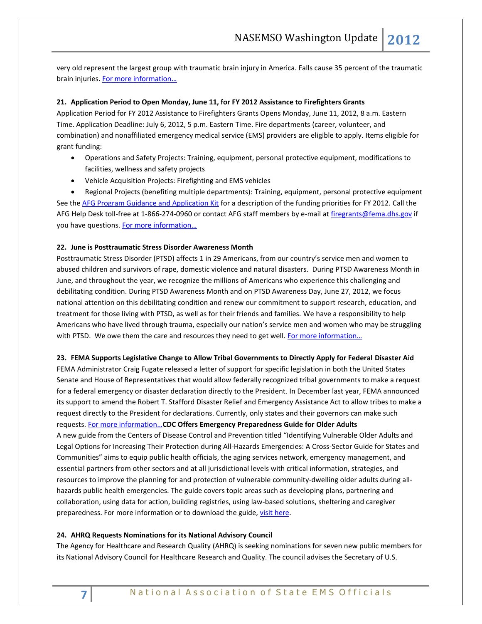very old represent the largest group with traumatic brain injury in America. Falls cause 35 percent of the traumatic brain injuries. [For more information…](http://www.biausa.org/announcements/cq-researcher-releases-special-report-on-tbi)

#### <span id="page-6-3"></span><span id="page-6-2"></span>**21. Application Period to Open Monday, June 11, for FY 2012 Assistance to Firefighters Grants**

Application Period for FY 2012 Assistance to Firefighters Grants Opens Monday, June 11, 2012, 8 a.m. Eastern Time. Application Deadline: July 6, 2012, 5 p.m. Eastern Time. Fire departments (career, volunteer, and combination) and nonaffiliated emergency medical service (EMS) providers are eligible to apply. Items eligible for grant funding:

- Operations and Safety Projects: Training, equipment, personal protective equipment, modifications to facilities, wellness and safety projects
- Vehicle Acquisition Projects: Firefighting and EMS vehicles

 Regional Projects (benefiting multiple departments): Training, equipment, personal protective equipment See th[e AFG Program Guidance and Application Kit](http://www.fema.gov/library/viewRecord.do?id=6007) for a description of the funding priorities for FY 2012. Call the AFG Help Desk toll-free at 1-866-274-0960 or contact AFG staff members by e-mail a[t firegrants@fema.dhs.gov](mailto:firegrants@fema.dhs.gov) if you have questions. [For more information…](http://www.fema.gov/firegrants/)

#### <span id="page-6-4"></span>**22. June is Posttraumatic Stress Disorder Awareness Month**

Posttraumatic Stress Disorder (PTSD) affects 1 in 29 Americans, from our country's service men and women to abused children and survivors of rape, domestic violence and natural disasters. During PTSD Awareness Month in June, and throughout the year, we recognize the millions of Americans who experience this challenging and debilitating condition. During PTSD Awareness Month and on PTSD Awareness Day, June 27, 2012, we focus national attention on this debilitating condition and renew our commitment to support research, education, and treatment for those living with PTSD, as well as for their friends and families. We have a responsibility to help Americans who have lived through trauma, especially our nation's service men and women who may be struggling with PTSD. We owe them the care and resources they need to get well. For more information...

#### <span id="page-6-0"></span>**23. FEMA Supports Legislative Change to Allow Tribal Governments to Directly Apply for Federal Disaster Aid**

<span id="page-6-1"></span>FEMA Administrator Craig Fugate released a letter of support for specific legislation in both the United States Senate and House of Representatives that would allow federally recognized tribal governments to make a request for a federal emergency or disaster declaration directly to the President. In December last year, FEMA announced its support to amend the Robert T. Stafford Disaster Relief and Emergency Assistance Act to allow tribes to make a request directly to the President for declarations. Currently, only states and their governors can make such requests. [For more information…](http://www.fema.gov/news/newsrelease.fema?id=63236)**CDC Offers Emergency Preparedness Guide for Older Adults** A new guide from the Centers of Disease Control and Prevention titled "Identifying Vulnerable Older Adults and Legal Options for Increasing Their Protection during All-Hazards Emergencies: A Cross-Sector Guide for States and Communities" aims to equip public health officials, the aging services network, emergency management, and essential partners from other sectors and at all jurisdictional levels with critical information, strategies, and resources to improve the planning for and protection of vulnerable community-dwelling older adults during allhazards public health emergencies. The guide covers topic areas such as developing plans, partnering and collaboration, using data for action, building registries, using law-based solutions, sheltering and caregiver preparedness. For more information or to download the guide, [visit here.](http://action.apha.org/site/R?i=sJGVoRNvoPaNmR-mTHqnag)

#### <span id="page-6-5"></span>**24. AHRQ Requests Nominations for its National Advisory Council**

The Agency for Healthcare and Research Quality (AHRQ) is seeking nominations for seven new public members for its National Advisory Council for Healthcare Research and Quality. The council advises the Secretary of U.S.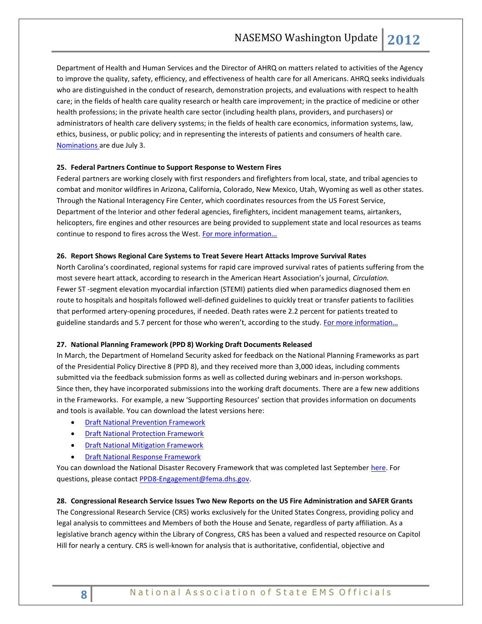Department of Health and Human Services and the Director of AHRQ on matters related to activities of the Agency to improve the quality, safety, efficiency, and effectiveness of health care for all Americans. AHRQ seeks individuals who are distinguished in the conduct of research, demonstration projects, and evaluations with respect to health care; in the fields of health care quality research or health care improvement; in the practice of medicine or other health professions; in the private health care sector (including health plans, providers, and purchasers) or administrators of health care delivery systems; in the fields of health care economics, information systems, law, ethics, business, or public policy; and in representing the interests of patients and consumers of health care. [Nominations a](http://click.bsftransmit1.com/ClickThru.aspx?pubids=8731%7c0835%7c445%7c497&digest=2YfpdDux%2fLWauIKlpt8xoQ&sysid=1)re due July 3.

#### <span id="page-7-1"></span><span id="page-7-0"></span>**25. Federal Partners Continue to Support Response to Western Fires**

Federal partners are working closely with first responders and firefighters from local, state, and tribal agencies to combat and monitor wildfires in Arizona, California, Colorado, New Mexico, Utah, Wyoming as well as other states. Through the National Interagency Fire Center, which coordinates resources from the US Forest Service, Department of the Interior and other federal agencies, firefighters, incident management teams, airtankers, helicopters, fire engines and other resources are being provided to supplement state and local resources as teams continue to respond to fires across the West. For more information...

#### **26. Report Shows Regional Care Systems to Treat Severe Heart Attacks Improve Survival Rates**

North Carolina's coordinated, regional systems for rapid care improved survival rates of patients suffering from the most severe heart attack, according to research in the American Heart Association's journal, *Circulation.* Fewer ST -segment elevation myocardial infarction (STEMI) patients died when paramedics diagnosed them en route to hospitals and hospitals followed well-defined guidelines to quickly treat or transfer patients to facilities that performed artery-opening procedures, if needed. Death rates were 2.2 percent for patients treated to guideline standards and 5.7 percent for those who weren't, according to the study. For more information...

#### <span id="page-7-2"></span>**27. National Planning Framework (PPD 8) Working Draft Documents Released**

In March, the Department of Homeland Security asked for feedback on the National Planning Frameworks as part of the Presidential Policy Directive 8 (PPD 8), and they received more than 3,000 ideas, including comments submitted via the feedback submission forms as well as collected during webinars and in-person workshops. Since then, they have incorporated submissions into the working draft documents. There are a few new additions in the Frameworks. For example, a new 'Supporting Resources' section that provides information on documents and tools is available. You can download the latest versions here:

- [Draft National Prevention Framework](http://www.fema.gov/library/viewRecord.do?id=5946)
- [Draft National Protection Framework](http://www.fema.gov/library/viewRecord.do?id=5947)
- **[Draft National Mitigation Framework](http://www.fema.gov/library/viewRecord.do?id=5944)**
- [Draft National Response Framework](http://www.fema.gov/library/viewRecord.do?id=5945)

You can download the National Disaster Recovery Framework that was completed last September [here.](http://www.fema.gov/pdf/recoveryframework/ndrf.pdf) For questions, please contac[t PPD8-Engagement@fema.dhs.gov.](mailto:PPD8-Engagement@fema.dhs.gov)

**28. Congressional Research Service Issues Two New Reports on the US Fire Administration and SAFER Grants** The Congressional Research Service (CRS) works exclusively for the United States Congress, providing policy and legal analysis to committees and Members of both the House and Senate, regardless of party affiliation. As a legislative branch agency within the Library of Congress, CRS has been a valued and respected resource on Capitol Hill for nearly a century. CRS is well-known for analysis that is authoritative, confidential, objective and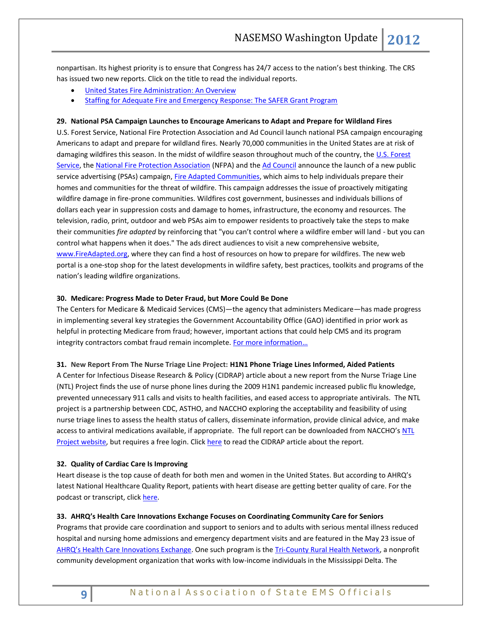nonpartisan. Its highest priority is to ensure that Congress has 24/7 access to the nation's best thinking. The CRS has issued two new reports. Click on the title to read the individual reports.

- [United States Fire Administration: An Overview](http://www.fas.org/sgp/crs/homesec/RS20071.pdf)
- [Staffing for Adequate Fire and Emergency Response: The SAFER Grant Program](http://www.fas.org/sgp/crs/homesec/RL33375.pdf)

#### **29. National PSA Campaign Launches to Encourage Americans to Adapt and Prepare for Wildland Fires**

U.S. Forest Service, National Fire Protection Association and Ad Council launch national PSA campaign encouraging Americans to adapt and prepare for wildland fires. Nearly 70,000 communities in the United States are at risk of damaging wildfires this season. In the midst of wildfire season throughout much of the country, the U.S. Forest [Service,](http://links.govdelivery.com/track?type=click&enid=ZWFzPTEmbWFpbGluZ2lkPTIwMTIwNjExLjgxODk1MDEmbWVzc2FnZWlkPU1EQi1QUkQtQlVMLTIwMTIwNjExLjgxODk1MDEmZGF0YWJhc2VpZD0xMDAxJnNlcmlhbD0xNzAyNjI5MSZlbWFpbGlkPWFsdGVyQG5hc2Vtc28ub3JnJnVzZXJpZD1hbHRlckBuYXNlbXNvLm9yZyZmbD0mZXh0cmE9TXVsdGl2YXJpYXRlSWQ9JiYm&&&101&&&http://www.fs.fed.us/) th[e National Fire Protection Association](http://links.govdelivery.com/track?type=click&enid=ZWFzPTEmbWFpbGluZ2lkPTIwMTIwNjExLjgxODk1MDEmbWVzc2FnZWlkPU1EQi1QUkQtQlVMLTIwMTIwNjExLjgxODk1MDEmZGF0YWJhc2VpZD0xMDAxJnNlcmlhbD0xNzAyNjI5MSZlbWFpbGlkPWFsdGVyQG5hc2Vtc28ub3JnJnVzZXJpZD1hbHRlckBuYXNlbXNvLm9yZyZmbD0mZXh0cmE9TXVsdGl2YXJpYXRlSWQ9JiYm&&&102&&&http://www.nfpa.org/) (NFPA) and th[e Ad Council](http://links.govdelivery.com/track?type=click&enid=ZWFzPTEmbWFpbGluZ2lkPTIwMTIwNjExLjgxODk1MDEmbWVzc2FnZWlkPU1EQi1QUkQtQlVMLTIwMTIwNjExLjgxODk1MDEmZGF0YWJhc2VpZD0xMDAxJnNlcmlhbD0xNzAyNjI5MSZlbWFpbGlkPWFsdGVyQG5hc2Vtc28ub3JnJnVzZXJpZD1hbHRlckBuYXNlbXNvLm9yZyZmbD0mZXh0cmE9TXVsdGl2YXJpYXRlSWQ9JiYm&&&103&&&http://www.adcouncil.org/) announce the launch of a new public service advertising (PSAs) campaign[, Fire Adapted Communities,](http://links.govdelivery.com/track?type=click&enid=ZWFzPTEmbWFpbGluZ2lkPTIwMTIwNjExLjgxODk1MDEmbWVzc2FnZWlkPU1EQi1QUkQtQlVMLTIwMTIwNjExLjgxODk1MDEmZGF0YWJhc2VpZD0xMDAxJnNlcmlhbD0xNzAyNjI5MSZlbWFpbGlkPWFsdGVyQG5hc2Vtc28ub3JnJnVzZXJpZD1hbHRlckBuYXNlbXNvLm9yZyZmbD0mZXh0cmE9TXVsdGl2YXJpYXRlSWQ9JiYm&&&104&&&http://www.fireadapted.org/) which aims to help individuals prepare their homes and communities for the threat of wildfire. This campaign addresses the issue of proactively mitigating wildfire damage in fire-prone communities. Wildfires cost government, businesses and individuals billions of dollars each year in suppression costs and damage to homes, infrastructure, the economy and resources. The television, radio, print, outdoor and web PSAs aim to empower residents to proactively take the steps to make their communities *fire adapted* by reinforcing that "you can't control where a wildfire ember will land - but you can control what happens when it does." The ads direct audiences to visit a new comprehensive website, [www.FireAdapted.org,](http://links.govdelivery.com/track?type=click&enid=ZWFzPTEmbWFpbGluZ2lkPTIwMTIwNjExLjgxODk1MDEmbWVzc2FnZWlkPU1EQi1QUkQtQlVMLTIwMTIwNjExLjgxODk1MDEmZGF0YWJhc2VpZD0xMDAxJnNlcmlhbD0xNzAyNjI5MSZlbWFpbGlkPWFsdGVyQG5hc2Vtc28ub3JnJnVzZXJpZD1hbHRlckBuYXNlbXNvLm9yZyZmbD0mZXh0cmE9TXVsdGl2YXJpYXRlSWQ9JiYm&&&104&&&http://www.fireadapted.org/) where they can find a host of resources on how to prepare for wildfires. The new web portal is a one-stop shop for the latest developments in wildfire safety, best practices, toolkits and programs of the nation's leading wildfire organizations.

#### **30. Medicare: Progress Made to Deter Fraud, but More Could Be Done**

The Centers for Medicare & Medicaid Services (CMS)—the agency that administers Medicare—has made progress in implementing several key strategies the Government Accountability Office (GAO) identified in prior work as helpful in protecting Medicare from fraud; however, important actions that could help CMS and its program integrity contractors combat fraud remain incomplete. For more information...

<span id="page-8-0"></span>**31. New Report From The Nurse Triage Line Project: H1N1 Phone Triage Lines Informed, Aided Patients**

A Center for Infectious Disease Research & Policy (CIDRAP) article about a new report from the Nurse Triage Line (NTL) Project finds the use of nurse phone lines during the 2009 H1N1 pandemic increased public flu knowledge, prevented unnecessary 911 calls and visits to health facilities, and eased access to appropriate antivirals. The NTL project is a partnership between CDC, ASTHO, and NACCHO exploring the acceptability and feasibility of using nurse triage lines to assess the health status of callers, disseminate information, provide clinical advice, and make access to antiviral medications available, if appropriate. The full report can be downloaded from NACCHO's NTL [Project website,](http://www.naccho.org/topics/emergency/pandemicinfluenzaprep/nursetriageline.cfm) but requires a free login. Click [here](http://www.cidrap.umn.edu/cidrap/content/influenza/swineflu/news/jun0412triage.html) to read the CIDRAP article about the report.

#### <span id="page-8-2"></span>**32. Quality of Cardiac Care Is Improving**

Heart disease is the top cause of death for both men and women in the United States. But according to AHRQ's latest National Healthcare Quality Report, patients with heart disease are getting better quality of care. For the podcast or transcript, clic[k here.](http://healthcare411.ahrq.gov/radiocastseg.aspx?id=1283&type=seg)

#### <span id="page-8-1"></span>**33. AHRQ's Health Care Innovations Exchange Focuses on Coordinating Community Care for Seniors**

Programs that provide care coordination and support to seniors and to adults with serious mental illness reduced hospital and nursing home admissions and emergency department visits and are featured in the May 23 issue of [AHRQ's Health Care Innovations Exchange](http://www.innovations.ahrq.gov/). One such program is th[e Tri-County Rural Health Network,](http://innovations.ahrq.gov/content.aspx?id=3395) a nonprofit community development organization that works with low-income individuals in the Mississippi Delta. The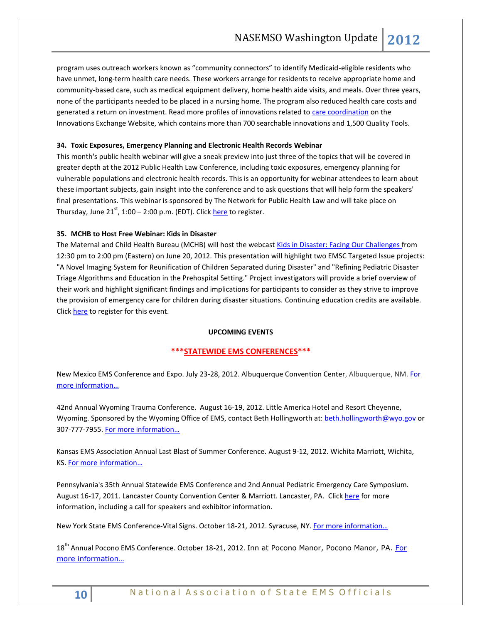program uses outreach workers known as "community connectors" to identify Medicaid-eligible residents who have unmet, long-term health care needs. These workers arrange for residents to receive appropriate home and community-based care, such as medical equipment delivery, home health aide visits, and meals. Over three years, none of the participants needed to be placed in a nursing home. The program also reduced health care costs and generated a return on investment. Read more profiles of innovations related t[o care coordination](http://www.innovations.ahrq.gov/innovations_qualitytools.aspx?search+care%20coordination) on the Innovations Exchange Website, which contains more than 700 searchable innovations and 1,500 Quality Tools.

## <span id="page-9-2"></span><span id="page-9-0"></span>**34. Toxic Exposures, Emergency Planning and Electronic Health Records Webinar**

This month's public health webinar will give a sneak preview into just three of the topics that will be covered in greater depth at the 2012 Public Health Law Conference, including toxic exposures, emergency planning for vulnerable populations and electronic health records. This is an opportunity for webinar attendees to learn about these important subjects, gain insight into the conference and to ask questions that will help form the speakers' final presentations. This webinar is sponsored by The Network for Public Health Law and will take place on Thursday, June  $21^{st}$ , 1:00 – 2:00 p.m. (EDT). Clic[k here](http://www.aslme.org/webinar-registration-toxic-exposures-emergency-planning-and-electronic-health-records-06212012) to register.

## <span id="page-9-1"></span>**35. MCHB to Host Free Webinar: Kids in Disaster**

The Maternal and Child Health Bureau (MCHB) will host the webcast [Kids in Disaster: Facing Our Challenges f](http://click.bsftransmit1.com/ClickThru.aspx?pubids=8731%7c0826%7c445%7c497&digest=Ysbe9%2fG1WTXZiAwVB2KkNQ&sysid=1)rom 12:30 pm to 2:00 pm (Eastern) on June 20, 2012. This presentation will highlight two EMSC Targeted Issue projects: "A Novel Imaging System for Reunification of Children Separated during Disaster" and "Refining Pediatric Disaster Triage Algorithms and Education in the Prehospital Setting." Project investigators will provide a brief overview of their work and highlight significant findings and implications for participants to consider as they strive to improve the provision of emergency care for children during disaster situations. Continuing education credits are available. Click [here](http://learning.mchb.hrsa.gov/LiveWebcastDetail.asp?leid=293) to register for this event.

#### **UPCOMING EVENTS**

## **\*\*\*STATEWIDE EMS CONFERENCES\*\*\***

New Mexico EMS Conference and Expo. July 23-28, 2012. Albuquerque Convention Center, Albuquerque, NM. For [more information…](http://www.emsregion3.org/)

42nd Annual Wyoming Trauma Conference. August 16-19, 2012. Little America Hotel and Resort Cheyenne, Wyoming. Sponsored by the Wyoming Office of EMS, contact Beth Hollingworth at[: beth.hollingworth@wyo.gov](mailto:beth.hollingworth@wyo.gov) or 307-777-7955. [For more information…](http://health.wyo.gov/sho/ems/conferences.html)

Kansas EMS Association Annual Last Blast of Summer Conference. August 9-12, 2012. Wichita Marriott, Wichita, KS. [For more information…](http://www.kemsa.org/LBOS.html) 

Pennsylvania's 35th Annual Statewide EMS Conference and 2nd Annual Pediatric Emergency Care Symposium. August 16-17, 2011. Lancaster County Convention Center & Marriott. Lancaster, PA. Click [here](http://www.cvent.com/events/35th-annual-pennsylvania-statewide-ems-conference/event-summary-dd4555c433834f8aada4af9332575af6.aspx) for more information, including a call for speakers and exhibitor information.

New York State EMS Conference-Vital Signs. October 18-21, 2012. Syracuse, NY. [For more information…](http://www.vitalsignsconference.com/)

18<sup>th</sup> Annual Pocono EMS Conference. October 18-21, 2012. Inn at Pocono Manor, Pocono Manor, PA. For [more information…](http://www.poconoemsconference.com/)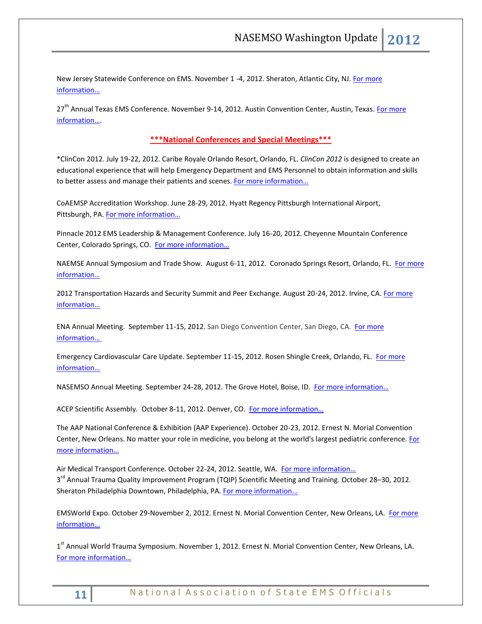New Jersey Statewide Conference on EMS. November 1 -4, 2012. Sheraton, Atlantic City, NJ[. For more](http://www.njemsconference.com/)  [information…](http://www.njemsconference.com/)

27<sup>th</sup> Annual Texas EMS Conference. November 9-14, 2012. Austin Convention Center, Austin, Texas. For more [information…](http://www.texasemsconference.com/).

## <span id="page-10-0"></span>**\*\*\*National Conferences and Special Meetings\*\*\***

\*ClinCon 2012. July 19-22, 2012. Caribe Royale Orlando Resort, Orlando, FL. *ClinCon 2012* is designed to create an educational experience that will help Emergency Department and EMS Personnel to obtain information and skills to better assess and manage their patients and scenes. For more information...

CoAEMSP Accreditation Workshop. June 28-29, 2012. Hyatt Regency Pittsburgh International Airport, Pittsburgh, PA. For more information...

Pinnacle 2012 EMS Leadership & Management Conference. July 16-20, 2012. Cheyenne Mountain Conference Center, Colorado Springs, CO. [For more information…](http://www.pinnacle-ems.com/)

NAEMSE Annual Symposium and Trade Show. August 6-11, 2012. Coronado Springs Resort, Orlando, FL. [For more](http://www.naemse.org/symposium)  [information…](http://www.naemse.org/symposium)

2012 Transportation Hazards and Security Summit and Peer Exchange. August 20-24, 2012. Irvine, CA. For more [information…](http://www.trb.org/Calendar/Blurbs/166997.aspx)

ENA Annual Meeting. September 11-15, 2012. San Diego Convention Center, San Diego, CA. [For more](http://www.ena.org/coursesandeducation/conferences/Pages/Default.aspx)  [information…](http://www.ena.org/coursesandeducation/conferences/Pages/Default.aspx)

Emergency Cardiovascular Care Update. September 11-15, 2012. Rosen Shingle Creek, Orlando, FL. [For more](http://www.eccu2012.com/)  [information…](http://www.eccu2012.com/)

NASEMSO Annual Meeting. September 24-28, 2012. The Grove Hotel, Boise, ID. [For more information…](http://www.nasemso.org/Meetings/Annual/AnnualMeeting2012.asp)

ACEP Scientific Assembly. October 8-11, 2012. Denver, CO. [For more information…](http://www.acep.org/Education/Continuing-Medical-Education-(CME)/Meetings/Future-Scientific-Assembly-Dates/)

The AAP National Conference & Exhibition (AAP Experience). October 20-23, 2012. Ernest N. Morial Convention Center, New Orleans. No matter your role in medicine, you belong at the world's largest pediatric conference. [For](http://www.aapexperience.org/)  [more information…](http://www.aapexperience.org/)

Air Medical Transport Conference. October 22-24, 2012. Seattle, WA. For more information... 3<sup>rd</sup> Annual Trauma Quality Improvement Program (TQIP) Scientific Meeting and Training. October 28–30, 2012. Sheraton Philadelphia Downtown, Philadelphia, PA. [For more information…](http://www.facs.org/trauma/ntdb/tqip-meeting.html)

EMSWorld Expo. October 29-November 2, 2012. Ernest N. Morial Convention Center, New Orleans, LA. [For more](http://emsworldexpo.com/)  [information…](http://emsworldexpo.com/)

1<sup>st</sup> Annual World Trauma Symposium. November 1, 2012. Ernest N. Morial Convention Center, New Orleans, LA. [For more information…](http://www.worldtraumasymposium.com/)